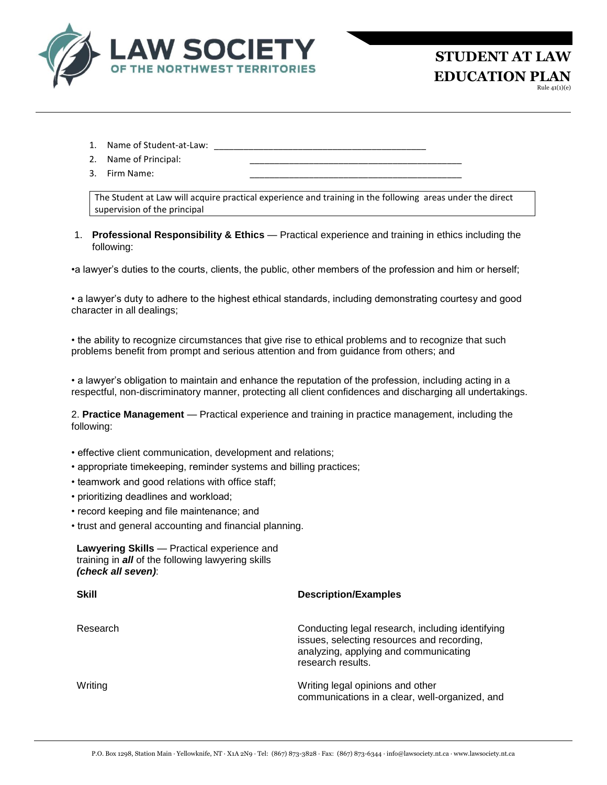

**STUDENT AT LAW EDUCATION PLAN**

Rule 41(1)(e)

- 1. Name of Student-at-Law: \_
- 2. Name of Principal:
- 3. Firm Name:

The Student at Law will acquire practical experience and training in the following areas under the direct supervision of the principal

1. **Professional Responsibility & Ethics** — Practical experience and training in ethics including the following:

•a lawyer's duties to the courts, clients, the public, other members of the profession and him or herself;

• a lawyer's duty to adhere to the highest ethical standards, including demonstrating courtesy and good character in all dealings;

• the ability to recognize circumstances that give rise to ethical problems and to recognize that such problems benefit from prompt and serious attention and from guidance from others; and

• a lawyer's obligation to maintain and enhance the reputation of the profession, including acting in a respectful, non-discriminatory manner, protecting all client confidences and discharging all undertakings.

2. **Practice Management** — Practical experience and training in practice management, including the following:

- effective client communication, development and relations;
- appropriate timekeeping, reminder systems and billing practices;
- teamwork and good relations with office staff;
- prioritizing deadlines and workload;
- record keeping and file maintenance; and
- trust and general accounting and financial planning.

| Lawyering Skills - Practical experience and              |
|----------------------------------------------------------|
| training in <b>all</b> of the following lawyering skills |
| (check all seven):                                       |

| <b>Skill</b> | <b>Description/Examples</b>                                                                                                                                  |  |
|--------------|--------------------------------------------------------------------------------------------------------------------------------------------------------------|--|
| Research     | Conducting legal research, including identifying<br>issues, selecting resources and recording,<br>analyzing, applying and communicating<br>research results. |  |
| Writing      | Writing legal opinions and other<br>communications in a clear, well-organized, and                                                                           |  |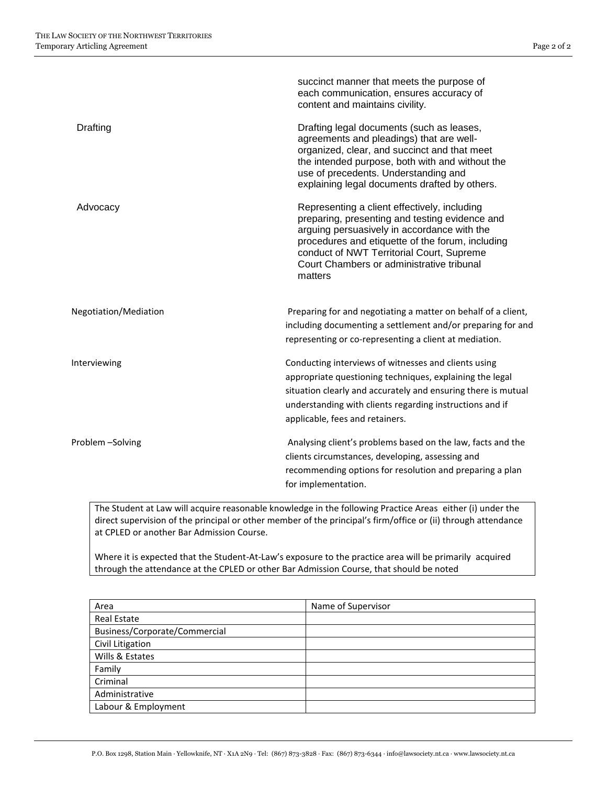|                       | succinct manner that meets the purpose of<br>each communication, ensures accuracy of<br>content and maintains civility.                                                                                                                                                                                |
|-----------------------|--------------------------------------------------------------------------------------------------------------------------------------------------------------------------------------------------------------------------------------------------------------------------------------------------------|
| Drafting              | Drafting legal documents (such as leases,<br>agreements and pleadings) that are well-<br>organized, clear, and succinct and that meet<br>the intended purpose, both with and without the<br>use of precedents. Understanding and<br>explaining legal documents drafted by others.                      |
| Advocacy              | Representing a client effectively, including<br>preparing, presenting and testing evidence and<br>arguing persuasively in accordance with the<br>procedures and etiquette of the forum, including<br>conduct of NWT Territorial Court, Supreme<br>Court Chambers or administrative tribunal<br>matters |
| Negotiation/Mediation | Preparing for and negotiating a matter on behalf of a client,<br>including documenting a settlement and/or preparing for and<br>representing or co-representing a client at mediation.                                                                                                                 |
| Interviewing          | Conducting interviews of witnesses and clients using<br>appropriate questioning techniques, explaining the legal<br>situation clearly and accurately and ensuring there is mutual<br>understanding with clients regarding instructions and if<br>applicable, fees and retainers.                       |
| Problem-Solving       | Analysing client's problems based on the law, facts and the<br>clients circumstances, developing, assessing and<br>recommending options for resolution and preparing a plan<br>for implementation.                                                                                                     |

The Student at Law will acquire reasonable knowledge in the following Practice Areas either (i) under the direct supervision of the principal or other member of the principal's firm/office or (ii) through attendance at CPLED or another Bar Admission Course.

Where it is expected that the Student-At-Law's exposure to the practice area will be primarily acquired through the attendance at the CPLED or other Bar Admission Course, that should be noted

| Area                          | Name of Supervisor |
|-------------------------------|--------------------|
| <b>Real Estate</b>            |                    |
| Business/Corporate/Commercial |                    |
| Civil Litigation              |                    |
| Wills & Estates               |                    |
| Family                        |                    |
| Criminal                      |                    |
| Administrative                |                    |
| Labour & Employment           |                    |